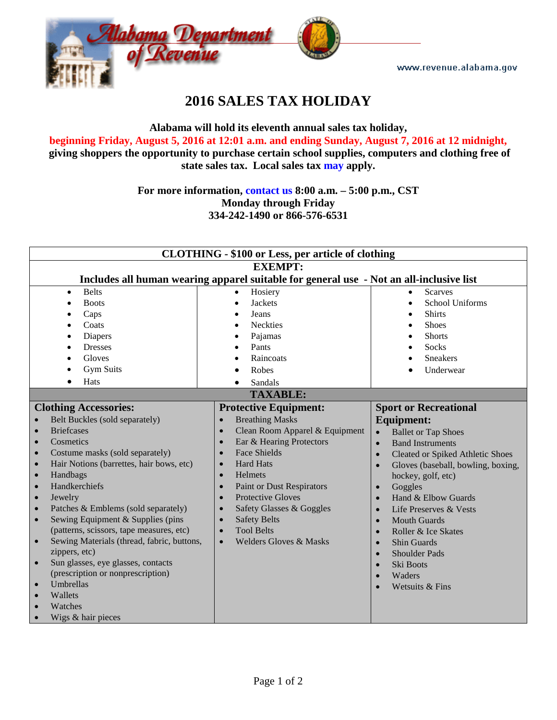www.revenue.alabama.gov



# **2016 SALES TAX HOLIDAY**

**Alabama will hold its eleventh annual sales tax holiday, beginning Friday, August 5, 2016 at 12:01 a.m. and ending Sunday, August 7, 2016 at 12 midnight, giving shoppers the opportunity to purchase certain school supplies, computers and clothing free of state sales tax. Local sales tax [may](http://revenue.alabama.gov/salestax/STholiday.cfm) apply.**

## **For more information, [contact us](https://revenue.alabama.gov/contact/) 8:00 a.m. – 5:00 p.m., CST Monday through Friday 334-242-1490 or 866-576-6531**

| <b>CLOTHING - \$100 or Less, per article of clothing</b>                                |                                               |                                                 |  |
|-----------------------------------------------------------------------------------------|-----------------------------------------------|-------------------------------------------------|--|
| <b>EXEMPT:</b>                                                                          |                                               |                                                 |  |
| Includes all human wearing apparel suitable for general use - Not an all-inclusive list |                                               |                                                 |  |
| <b>Belts</b><br>$\bullet$                                                               | Hosiery<br>$\bullet$                          | Scarves<br>$\bullet$                            |  |
| <b>Boots</b><br>$\bullet$                                                               | <b>Jackets</b><br>$\bullet$                   | School Uniforms<br>$\bullet$                    |  |
| Caps                                                                                    | Jeans                                         | <b>Shirts</b><br>$\bullet$                      |  |
| Coats                                                                                   | <b>Neckties</b>                               | <b>Shoes</b>                                    |  |
| Diapers                                                                                 | Pajamas                                       | <b>Shorts</b>                                   |  |
| <b>Dresses</b>                                                                          | Pants                                         | <b>Socks</b>                                    |  |
| Gloves                                                                                  | Raincoats                                     | <b>Sneakers</b>                                 |  |
| <b>Gym Suits</b>                                                                        | Robes                                         | Underwear                                       |  |
| Hats                                                                                    | Sandals                                       |                                                 |  |
| <b>TAXABLE:</b>                                                                         |                                               |                                                 |  |
| <b>Clothing Accessories:</b>                                                            | <b>Protective Equipment:</b>                  | <b>Sport or Recreational</b>                    |  |
| Belt Buckles (sold separately)                                                          | <b>Breathing Masks</b><br>$\bullet$           | <b>Equipment:</b>                               |  |
| <b>Briefcases</b><br>$\bullet$                                                          | Clean Room Apparel & Equipment<br>$\bullet$   | <b>Ballet or Tap Shoes</b><br>$\bullet$         |  |
| Cosmetics<br>$\bullet$                                                                  | Ear & Hearing Protectors                      | <b>Band Instruments</b><br>$\bullet$            |  |
| Costume masks (sold separately)<br>$\bullet$                                            | <b>Face Shields</b>                           | Cleated or Spiked Athletic Shoes<br>$\bullet$   |  |
| Hair Notions (barrettes, hair bows, etc)<br>$\bullet$                                   | <b>Hard Hats</b>                              | Gloves (baseball, bowling, boxing,<br>$\bullet$ |  |
| Handbags<br>$\bullet$                                                                   | Helmets                                       | hockey, golf, etc)                              |  |
| Handkerchiefs<br>$\bullet$                                                              | <b>Paint or Dust Respirators</b><br>$\bullet$ | Goggles<br>$\bullet$                            |  |
| Jewelry<br>$\bullet$                                                                    | <b>Protective Gloves</b><br>$\bullet$         | Hand & Elbow Guards<br>$\bullet$                |  |
| Patches & Emblems (sold separately)<br>$\bullet$                                        | Safety Glasses & Goggles                      | Life Preserves & Vests<br>$\bullet$             |  |
| Sewing Equipment & Supplies (pins<br>$\bullet$                                          | <b>Safety Belts</b>                           | <b>Mouth Guards</b><br>$\bullet$                |  |
| (patterns, scissors, tape measures, etc)                                                | <b>Tool Belts</b>                             | Roller & Ice Skates<br>$\bullet$                |  |
| Sewing Materials (thread, fabric, buttons,<br>$\bullet$                                 | <b>Welders Gloves &amp; Masks</b>             | <b>Shin Guards</b><br>$\bullet$                 |  |
| zippers, etc)                                                                           |                                               | <b>Shoulder Pads</b><br>$\bullet$               |  |
| Sun glasses, eye glasses, contacts<br>$\bullet$                                         |                                               | Ski Boots<br>$\bullet$                          |  |
| (prescription or nonprescription)                                                       |                                               | Waders<br>$\bullet$                             |  |
| Umbrellas<br>$\bullet$                                                                  |                                               | Wetsuits & Fins                                 |  |
| Wallets<br>$\bullet$                                                                    |                                               |                                                 |  |
| Watches                                                                                 |                                               |                                                 |  |
| Wigs & hair pieces                                                                      |                                               |                                                 |  |